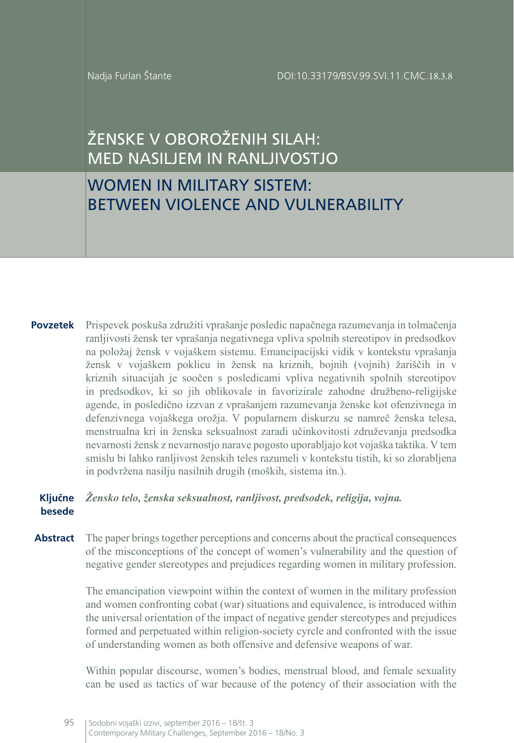Nadja Furlan Štante

# ŽENSKE V OBOROŽENIH SILAH: MED NASILJEM IN RANLJIVOSTJO

## WOMEN IN MILITARY SISTEM: BETWEEN VIOLENCE AND VULNERABILITY

**Povzetek** Prispevek poskuša združiti vprašanje posledic napačnega razumevanja in tolmačenja ranljivosti žensk ter vprašanja negativnega vpliva spolnih stereotipov in predsodkov na položaj žensk v vojaškem sistemu. Emancipacijski vidik v kontekstu vprašanja žensk v vojaškem poklicu in žensk na kriznih, bojnih (vojnih) žariščih in v kriznih situacijah je soočen s posledicami vpliva negativnih spolnih stereotipov in predsodkov, ki so jih oblikovale in favorizirale zahodne družbeno-religijske agende, in posledično izzvan z vprašanjem razumevanja ženske kot ofenzivnega in defenzivnega vojaškega orožja. V popularnem diskurzu se namreč ženska telesa, menstrualna kri in ženska seksualnost zaradi učinkovitosti združevanja predsodka nevarnosti žensk z nevarnostjo narave pogosto uporabljajo kot vojaška taktika. V tem smislu bi lahko ranljivost ženskih teles razumeli v kontekstu tistih, ki so zlorabljena in podvržena nasilju nasilnih drugih (moških, sistema itn.).

### **Ključne**  *Žensko telo, ženska seksualnost, ranljivost, predsodek, religija, vojna.* **besede**

Abstract The paper brings together perceptions and concerns about the practical consequences of the misconceptions of the concept of women's vulnerability and the question of negative gender stereotypes and prejudices regarding women in military profession.

> The emancipation viewpoint within the context of women in the military profession and women confronting cobat (war) situations and equivalence, is introduced within the universal orientation of the impact of negative gender stereotypes and prejudices formed and perpetuated within religion-society cyrcle and confronted with the issue of understanding women as both offensive and defensive weapons of war*.*

> Within popular discourse, women's bodies, menstrual blood, and female sexuality can be used as tactics of war because of the potency of their association with the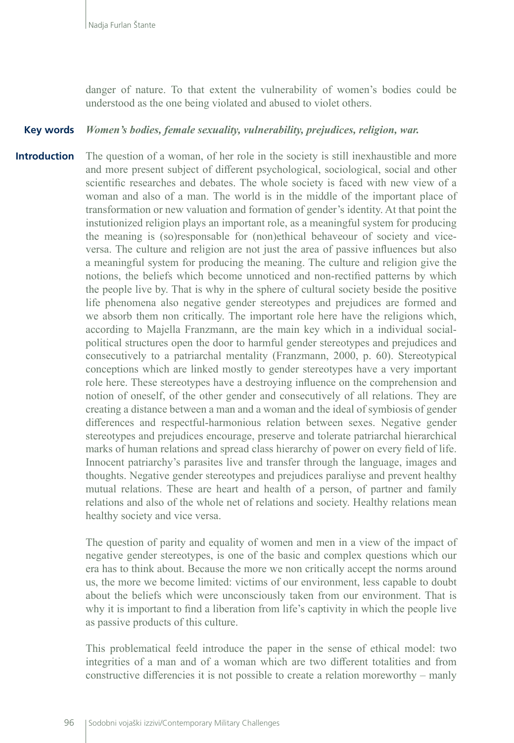danger of nature. To that extent the vulnerability of women's bodies could be understood as the one being violated and abused to violet others.

#### *Women's bodies, female sexuality, vulnerability, prejudices, religion, war.* **Key words**

The question of a woman, of her role in the society is still inexhaustible and more and more present subject of different psychological, sociological, social and other scientific researches and debates. The whole society is faced with new view of a woman and also of a man. The world is in the middle of the important place of transformation or new valuation and formation of gender's identity. At that point the instutionized religion plays an important role, as a meaningful system for producing the meaning is (so)responsable for (non)ethical behaveour of society and viceversa. The culture and religion are not just the area of passive influences but also a meaningful system for producing the meaning. The culture and religion give the notions, the beliefs which become unnoticed and non-rectified patterns by which the people live by. That is why in the sphere of cultural society beside the positive life phenomena also negative gender stereotypes and prejudices are formed and we absorb them non critically. The important role here have the religions which, according to Majella Franzmann, are the main key which in a individual socialpolitical structures open the door to harmful gender stereotypes and prejudices and consecutively to a patriarchal mentality (Franzmann, 2000, p. 60). Stereotypical conceptions which are linked mostly to gender stereotypes have a very important role here. These stereotypes have a destroying influence on the comprehension and notion of oneself, of the other gender and consecutively of all relations. They are creating a distance between a man and a woman and the ideal of symbiosis of gender differences and respectful-harmonious relation between sexes. Negative gender stereotypes and prejudices encourage, preserve and tolerate patriarchal hierarchical marks of human relations and spread class hierarchy of power on every field of life. Innocent patriarchy's parasites live and transfer through the language, images and thoughts. Negative gender stereotypes and prejudices paraliyse and prevent healthy mutual relations. These are heart and health of a person, of partner and family relations and also of the whole net of relations and society. Healthy relations mean healthy society and vice versa. **Introduction**

> The question of parity and equality of women and men in a view of the impact of negative gender stereotypes, is one of the basic and complex questions which our era has to think about. Because the more we non critically accept the norms around us, the more we become limited: victims of our environment, less capable to doubt about the beliefs which were unconsciously taken from our environment. That is why it is important to find a liberation from life's captivity in which the people live as passive products of this culture.

> This problematical feeld introduce the paper in the sense of ethical model: two integrities of a man and of a woman which are two different totalities and from constructive differencies it is not possible to create a relation moreworthy – manly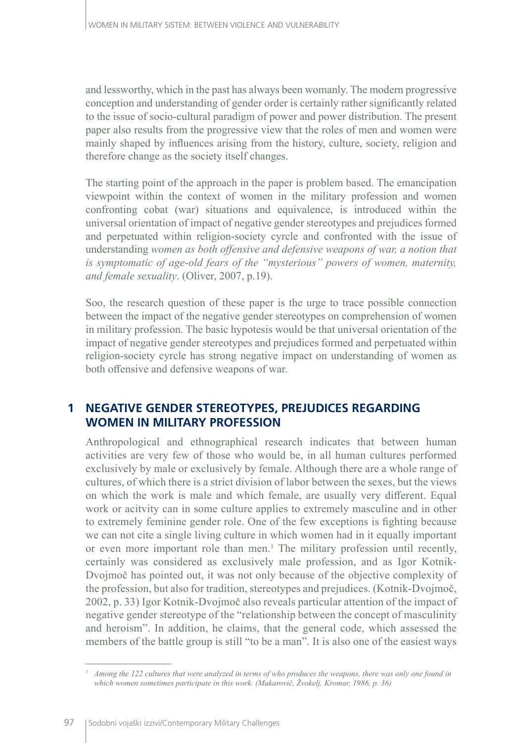and lessworthy, which in the past has always been womanly. The modern progressive conception and understanding of gender order is certainly rather significantly related to the issue of socio-cultural paradigm of power and power distribution. The present paper also results from the progressive view that the roles of men and women were mainly shaped by influences arising from the history, culture, society, religion and therefore change as the society itself changes.

The starting point of the approach in the paper is problem based. The emancipation viewpoint within the context of women in the military profession and women confronting cobat (war) situations and equivalence, is introduced within the universal orientation of impact of negative gender stereotypes and prejudices formed and perpetuated within religion-society cyrcle and confronted with the issue of understanding *women as both offensive and defensive weapons of war, a notion that is symptomatic of age-old fears of the "mysterious" powers of women, maternity, and female sexuality*. (Oliver, 2007, p.19).

Soo, the research question of these paper is the urge to trace possible connection between the impact of the negative gender stereotypes on comprehension of women in military profession. The basic hypotesis would be that universal orientation of the impact of negative gender stereotypes and prejudices formed and perpetuated within religion-society cyrcle has strong negative impact on understanding of women as both offensive and defensive weapons of war*.*

## **1 NEGATIVE GENDER STEREOTYPES, PREJUDICES REGARDING WOMEN IN MILITARY PROFESSION**

Anthropological and ethnographical research indicates that between human activities are very few of those who would be, in all human cultures performed exclusively by male or exclusively by female. Although there are a whole range of cultures, of which there is a strict division of labor between the sexes, but the views on which the work is male and which female, are usually very different. Equal work or acitvity can in some culture applies to extremely masculine and in other to extremely feminine gender role. One of the few exceptions is fighting because we can not cite a single living culture in which women had in it equally important or even more important role than men.<sup>1</sup> The military profession until recently, certainly was considered as exclusively male profession, and as Igor Kotnik-Dvojmoč has pointed out, it was not only because of the objective complexity of the profession, but also for tradition, stereotypes and prejudices. (Kotnik-Dvojmoč, 2002, p. 33) Igor Kotnik-Dvojmoč also reveals particular attention of the impact of negative gender stereotype of the "relationship between the concept of masculinity and heroism". In addition, he claims, that the general code, which assessed the members of the battle group is still "to be a man". It is also one of the easiest ways

*Among the 122 cultures that were analyzed in terms of who produces the weapons, there was only one found in which women sometimes participate in this work. (Makarovič, Žvokelj, Kromar, 1986, p. 36)*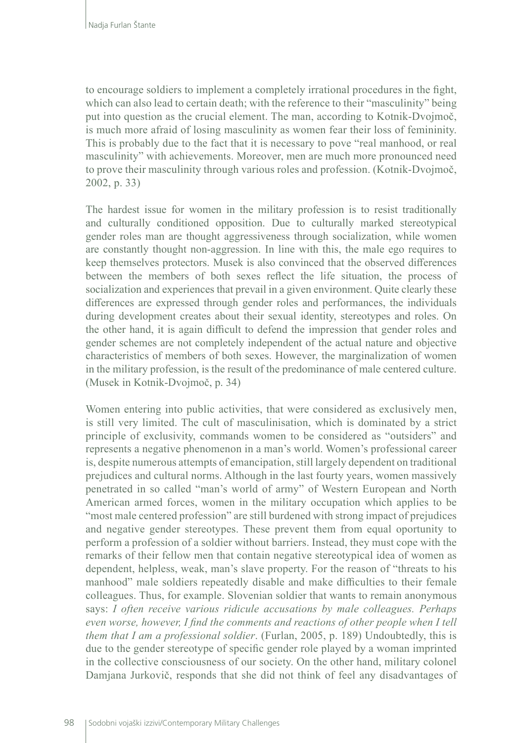to encourage soldiers to implement a completely irrational procedures in the fight, which can also lead to certain death; with the reference to their "masculinity" being put into question as the crucial element. The man, according to Kotnik-Dvojmoč, is much more afraid of losing masculinity as women fear their loss of femininity. This is probably due to the fact that it is necessary to pove "real manhood, or real masculinity" with achievements. Moreover, men are much more pronounced need to prove their masculinity through various roles and profession. (Kotnik-Dvojmoč, 2002, p. 33)

The hardest issue for women in the military profession is to resist traditionally and culturally conditioned opposition. Due to culturally marked stereotypical gender roles man are thought aggressiveness through socialization, while women are constantly thought non-aggression. In line with this, the male ego requires to keep themselves protectors. Musek is also convinced that the observed differences between the members of both sexes reflect the life situation, the process of socialization and experiences that prevail in a given environment. Quite clearly these differences are expressed through gender roles and performances, the individuals during development creates about their sexual identity, stereotypes and roles. On the other hand, it is again difficult to defend the impression that gender roles and gender schemes are not completely independent of the actual nature and objective characteristics of members of both sexes. However, the marginalization of women in the military profession, is the result of the predominance of male centered culture. (Musek in Kotnik-Dvojmoč, p. 34)

Women entering into public activities, that were considered as exclusively men, is still very limited. The cult of masculinisation, which is dominated by a strict principle of exclusivity, commands women to be considered as "outsiders" and represents a negative phenomenon in a man's world. Women's professional career is, despite numerous attempts of emancipation, still largely dependent on traditional prejudices and cultural norms. Although in the last fourty years, women massively penetrated in so called "man's world of army" of Western European and North American armed forces, women in the military occupation which applies to be "most male centered profession" are still burdened with strong impact of prejudices and negative gender stereotypes. These prevent them from equal oportunity to perform a profession of a soldier without barriers. Instead, they must cope with the remarks of their fellow men that contain negative stereotypical idea of women as dependent, helpless, weak, man's slave property. For the reason of "threats to his manhood" male soldiers repeatedly disable and make difficulties to their female colleagues. Thus, for example. Slovenian soldier that wants to remain anonymous says: *I often receive various ridicule accusations by male colleagues. Perhaps even worse, however, I find the comments and reactions of other people when I tell them that I am a professional soldier*. (Furlan, 2005, p. 189) Undoubtedly, this is due to the gender stereotype of specific gender role played by a woman imprinted in the collective consciousness of our society. On the other hand, military colonel Damjana Jurkovič, responds that she did not think of feel any disadvantages of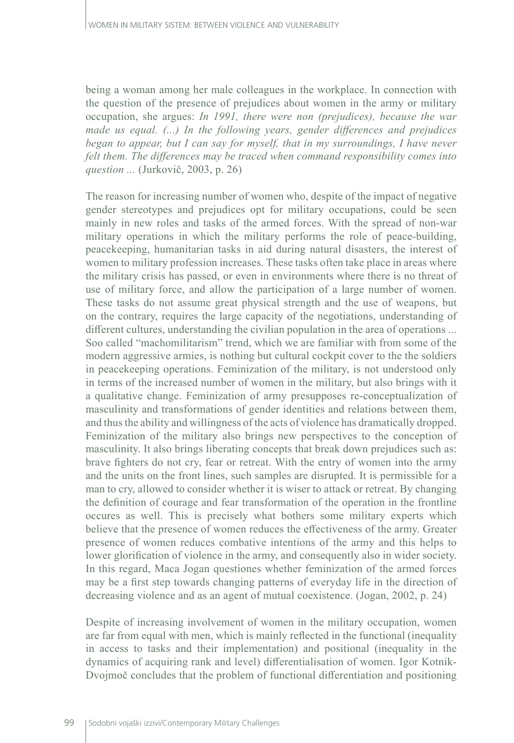being a woman among her male colleagues in the workplace. In connection with the question of the presence of prejudices about women in the army or military occupation, she argues: *In 1991, there were non (prejudices), because the war made us equal. (...)* In the following years, gender differences and prejudices *began to appear, but I can say for myself, that in my surroundings, I have never felt them. The differences may be traced when command responsibility comes into question ...* (Jurkovič, 2003, p. 26)

The reason for increasing number of women who, despite of the impact of negative gender stereotypes and prejudices opt for military occupations, could be seen mainly in new roles and tasks of the armed forces. With the spread of non-war military operations in which the military performs the role of peace-building, peacekeeping, humanitarian tasks in aid during natural disasters, the interest of women to military profession increases. These tasks often take place in areas where the military crisis has passed, or even in environments where there is no threat of use of military force, and allow the participation of a large number of women. These tasks do not assume great physical strength and the use of weapons, but on the contrary, requires the large capacity of the negotiations, understanding of different cultures, understanding the civilian population in the area of operations ... Soo called "machomilitarism" trend, which we are familiar with from some of the modern aggressive armies, is nothing but cultural cockpit cover to the the soldiers in peacekeeping operations. Feminization of the military, is not understood only in terms of the increased number of women in the military, but also brings with it a qualitative change. Feminization of army presupposes re-conceptualization of masculinity and transformations of gender identities and relations between them, and thus the ability and willingness of the acts of violence has dramatically dropped. Feminization of the military also brings new perspectives to the conception of masculinity. It also brings liberating concepts that break down prejudices such as: brave fighters do not cry, fear or retreat. With the entry of women into the army and the units on the front lines, such samples are disrupted. It is permissible for a man to cry, allowed to consider whether it is wiser to attack or retreat. By changing the definition of courage and fear transformation of the operation in the frontline occures as well. This is precisely what bothers some military experts which believe that the presence of women reduces the effectiveness of the army. Greater presence of women reduces combative intentions of the army and this helps to lower glorification of violence in the army, and consequently also in wider society. In this regard, Maca Jogan questiones whether feminization of the armed forces may be a first step towards changing patterns of everyday life in the direction of decreasing violence and as an agent of mutual coexistence. (Jogan, 2002, p. 24)

Despite of increasing involvement of women in the military occupation, women are far from equal with men, which is mainly reflected in the functional (inequality in access to tasks and their implementation) and positional (inequality in the dynamics of acquiring rank and level) differentialisation of women. Igor Kotnik-Dvojmoč concludes that the problem of functional differentiation and positioning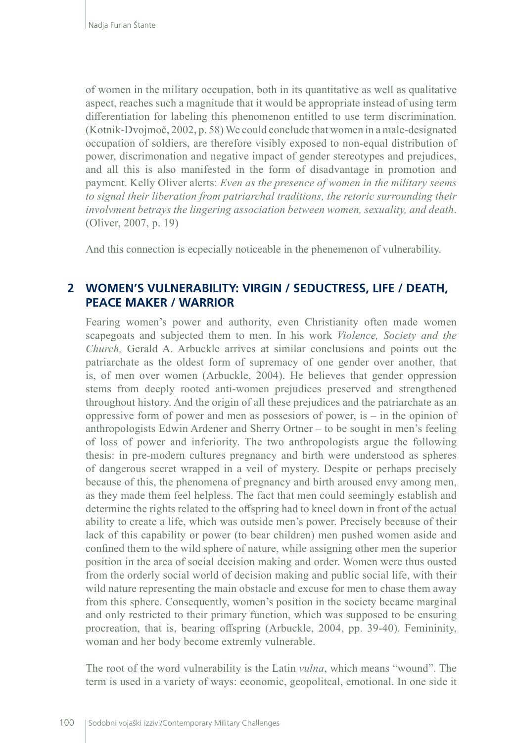of women in the military occupation, both in its quantitative as well as qualitative aspect, reaches such a magnitude that it would be appropriate instead of using term differentiation for labeling this phenomenon entitled to use term discrimination. (Kotnik-Dvojmoč, 2002, p. 58) We could conclude that women in a male-designated occupation of soldiers, are therefore visibly exposed to non-equal distribution of power, discrimonation and negative impact of gender stereotypes and prejudices, and all this is also manifested in the form of disadvantage in promotion and payment. Kelly Oliver alerts: *Even as the presence of women in the military seems to signal their liberation from patriarchal traditions, the retoric surrounding their involvment betrays the lingering association between women, sexuality, and death*. (Oliver, 2007, p. 19)

And this connection is ecpecially noticeable in the phenemenon of vulnerability.

## **2 WOMEN'S VULNERABILITY: VIRGIN / SEDUCTRESS, LIFE / DEATH, PEACE MAKER / WARRIOR**

Fearing women's power and authority, even Christianity often made women scapegoats and subjected them to men. In his work *Violence, Society and the Church,* Gerald A. Arbuckle arrives at similar conclusions and points out the patriarchate as the oldest form of supremacy of one gender over another, that is, of men over women (Arbuckle, 2004). He believes that gender oppression stems from deeply rooted anti-women prejudices preserved and strengthened throughout history. And the origin of all these prejudices and the patriarchate as an oppressive form of power and men as possesiors of power, is – in the opinion of anthropologists Edwin Ardener and Sherry Ortner – to be sought in men's feeling of loss of power and inferiority. The two anthropologists argue the following thesis: in pre-modern cultures pregnancy and birth were understood as spheres of dangerous secret wrapped in a veil of mystery. Despite or perhaps precisely because of this, the phenomena of pregnancy and birth aroused envy among men, as they made them feel helpless. The fact that men could seemingly establish and determine the rights related to the offspring had to kneel down in front of the actual ability to create a life, which was outside men's power. Precisely because of their lack of this capability or power (to bear children) men pushed women aside and confined them to the wild sphere of nature, while assigning other men the superior position in the area of social decision making and order. Women were thus ousted from the orderly social world of decision making and public social life, with their wild nature representing the main obstacle and excuse for men to chase them away from this sphere. Consequently, women's position in the society became marginal and only restricted to their primary function, which was supposed to be ensuring procreation, that is, bearing offspring (Arbuckle, 2004, pp. 39-40). Femininity, woman and her body become extremly vulnerable.

The root of the word vulnerability is the Latin *vulna*, which means "wound". The term is used in a variety of ways: economic, geopolitcal, emotional. In one side it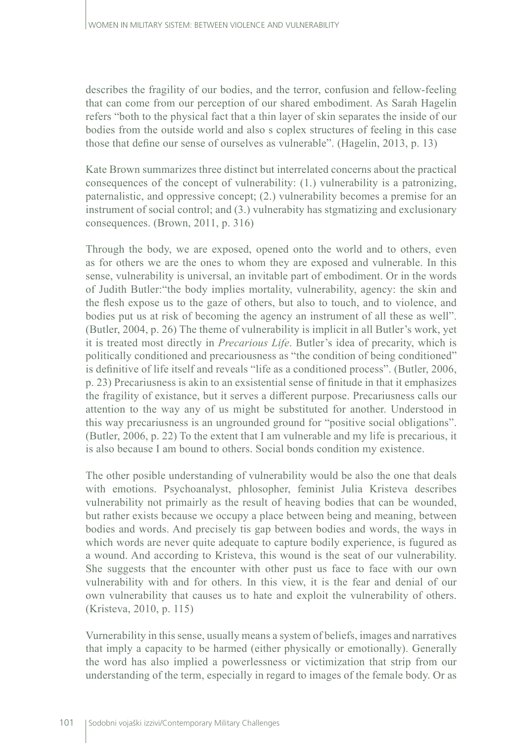describes the fragility of our bodies, and the terror, confusion and fellow-feeling that can come from our perception of our shared embodiment. As Sarah Hagelin refers "both to the physical fact that a thin layer of skin separates the inside of our bodies from the outside world and also s coplex structures of feeling in this case those that define our sense of ourselves as vulnerable". (Hagelin, 2013, p. 13)

Kate Brown summarizes three distinct but interrelated concerns about the practical consequences of the concept of vulnerability: (1.) vulnerability is a patronizing, paternalistic, and oppressive concept; (2.) vulnerability becomes a premise for an instrument of social control; and (3.) vulnerabity has stgmatizing and exclusionary consequences. (Brown, 2011, p. 316)

Through the body, we are exposed, opened onto the world and to others, even as for others we are the ones to whom they are exposed and vulnerable. In this sense, vulnerability is universal, an invitable part of embodiment. Or in the words of Judith Butler:"the body implies mortality, vulnerability, agency: the skin and the flesh expose us to the gaze of others, but also to touch, and to violence, and bodies put us at risk of becoming the agency an instrument of all these as well". (Butler, 2004, p. 26) The theme of vulnerability is implicit in all Butler's work, yet it is treated most directly in *Precarious Life*. Butler's idea of precarity, which is politically conditioned and precariousness as "the condition of being conditioned" is definitive of life itself and reveals "life as a conditioned process". (Butler, 2006, p. 23) Precariusness is akin to an exsistential sense of finitude in that it emphasizes the fragility of existance, but it serves a different purpose. Precariusness calls our attention to the way any of us might be substituted for another. Understood in this way precariusness is an ungrounded ground for "positive social obligations". (Butler, 2006, p. 22) To the extent that I am vulnerable and my life is precarious, it is also because I am bound to others. Social bonds condition my existence.

The other posible understanding of vulnerability would be also the one that deals with emotions. Psychoanalyst, phlosopher, feminist Julia Kristeva describes vulnerability not primairly as the result of heaving bodies that can be wounded, but rather exists because we occupy a place between being and meaning, between bodies and words. And precisely tis gap between bodies and words, the ways in which words are never quite adequate to capture bodily experience, is fugured as a wound. And according to Kristeva, this wound is the seat of our vulnerability. She suggests that the encounter with other pust us face to face with our own vulnerability with and for others. In this view, it is the fear and denial of our own vulnerability that causes us to hate and exploit the vulnerability of others. (Kristeva, 2010, p. 115)

Vurnerability in this sense, usually means a system of beliefs, images and narratives that imply a capacity to be harmed (either physically or emotionally). Generally the word has also implied a powerlessness or victimization that strip from our understanding of the term, especially in regard to images of the female body. Or as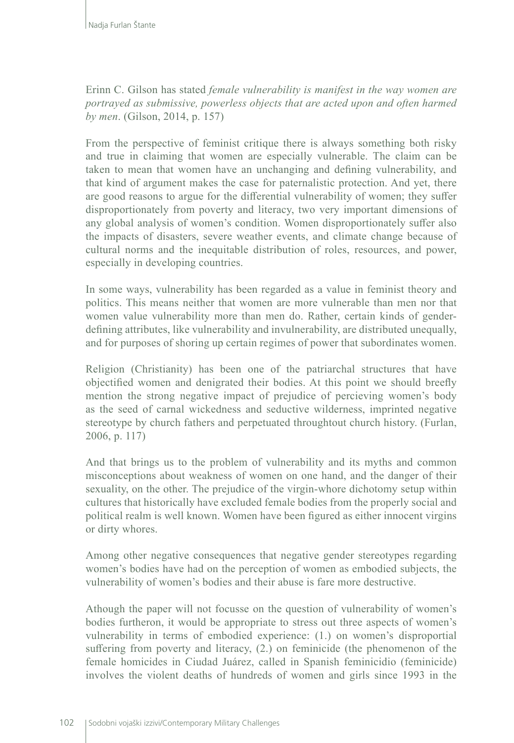Erinn C. Gilson has stated *female vulnerability is manifest in the way women are portrayed as submissive, powerless objects that are acted upon and often harmed by men*. (Gilson, 2014, p. 157)

From the perspective of feminist critique there is always something both risky and true in claiming that women are especially vulnerable. The claim can be taken to mean that women have an unchanging and defining vulnerability, and that kind of argument makes the case for paternalistic protection. And yet, there are good reasons to argue for the differential vulnerability of women; they suffer disproportionately from poverty and literacy, two very important dimensions of any global analysis of women's condition. Women disproportionately suffer also the impacts of disasters, severe weather events, and climate change because of cultural norms and the inequitable distribution of roles, resources, and power, especially in developing countries.

In some ways, vulnerability has been regarded as a value in feminist theory and politics. This means neither that women are more vulnerable than men nor that women value vulnerability more than men do. Rather, certain kinds of genderdefining attributes, like vulnerability and invulnerability, are distributed unequally, and for purposes of shoring up certain regimes of power that subordinates women.

Religion (Christianity) has been one of the patriarchal structures that have objectified women and denigrated their bodies. At this point we should breefly mention the strong negative impact of prejudice of percieving women's body as the seed of carnal wickedness and seductive wilderness, imprinted negative stereotype by church fathers and perpetuated throughtout church history. (Furlan, 2006, p. 117)

And that brings us to the problem of vulnerability and its myths and common misconceptions about weakness of women on one hand, and the danger of their sexuality, on the other. The prejudice of the virgin-whore dichotomy setup within cultures that historically have excluded female bodies from the properly social and political realm is well known. Women have been figured as either innocent virgins or dirty whores.

Among other negative consequences that negative gender stereotypes regarding women's bodies have had on the perception of women as embodied subjects, the vulnerability of women's bodies and their abuse is fare more destructive.

Athough the paper will not focusse on the question of vulnerability of women's bodies furtheron, it would be appropriate to stress out three aspects of women's vulnerability in terms of embodied experience: (1.) on women's disproportial suffering from poverty and literacy, (2.) on feminicide (the phenomenon of the female homicides in Ciudad Juárez, called in [Spanish](https://en.wikipedia.org/wiki/Spanish_(language)) feminicidio ([feminicide\)](https://en.wikipedia.org/wiki/Feminicide) involves the violent deaths of hundreds of women and girls since 1993 in the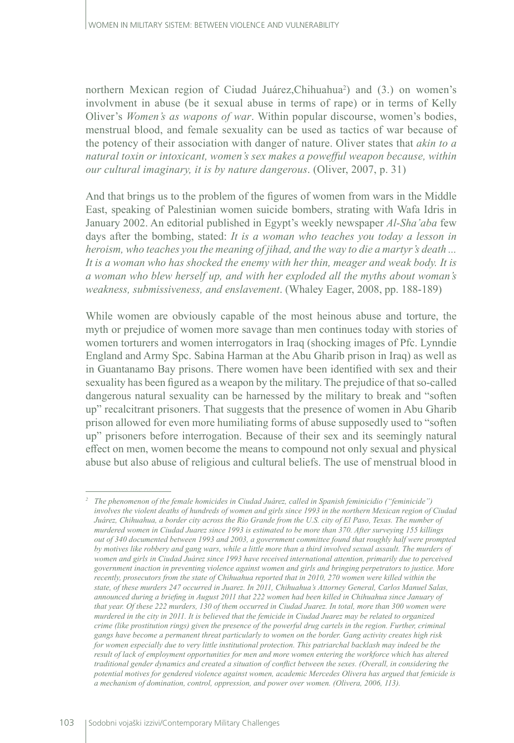northern [Mexican](https://en.wikipedia.org/wiki/Mexico) region of [Ciudad Juárez](https://en.wikipedia.org/wiki/Ciudad_Ju%C3%A1rez),[Chihuahua](https://en.wikipedia.org/wiki/Chihuahua_(state))<sup>2</sup> ) and (3.) on women's involvment in abuse (be it sexual abuse in terms of rape) or in terms of Kelly Oliver's *Women's as wapons of war*. Within popular discourse, women's bodies, menstrual blood, and female sexuality can be used as tactics of war because of the potency of their association with danger of nature. Oliver states that *akin to a natural toxin or intoxicant, women's sex makes a powefful weapon because, within our cultural imaginary, it is by nature dangerous*. (Oliver, 2007, p. 31)

And that brings us to the problem of the figures of women from wars in the Middle East, speaking of Palestinian women suicide bombers, strating with Wafa Idris in January 2002. An editorial published in Egypt's weekly newspaper *Al-Sha'aba* few days after the bombing, stated: *It is a woman who teaches you today a lesson in heroism, who teaches you the meaning of jihad, and the way to die a martyr's death ... It is a woman who has shocked the enemy with her thin, meager and weak body. It is a woman who blew herself up, and with her exploded all the myths about woman's weakness, submissiveness, and enslavement*. (Whaley Eager, 2008, pp. 188-189)

While women are obviously capable of the most heinous abuse and torture, the myth or prejudice of women more savage than men continues today with stories of women torturers and women interrogators in Iraq (shocking images of Pfc. Lynndie England and Army Spc. Sabina Harman at the Abu Gharib prison in Iraq) as well as in Guantanamo Bay prisons. There women have been identified with sex and their sexuality has been figured as a weapon by the military. The prejudice of that so-called dangerous natural sexuality can be harnessed by the military to break and "soften up" recalcitrant prisoners. That suggests that the presence of women in Abu Gharib prison allowed for even more humiliating forms of abuse supposedly used to "soften up" prisoners before interrogation. Because of their sex and its seemingly natural effect on men, women become the means to compound not only sexual and physical abuse but also abuse of religious and cultural beliefs. The use of menstrual blood in

*<sup>2</sup> The phenomenon of the female homicides in Ciudad Juárez, called in Spanish feminicidio (["feminicide"](https://en.wikipedia.org/wiki/Feminicide)) involves the violent deaths of hundreds of women and girls since 1993 in the northern Mexican region of Ciudad [Juárez,](https://en.wikipedia.org/wiki/Ciudad_Ju%C3%A1rez) [Chihuahua](https://en.wikipedia.org/wiki/Chihuahua_(state)), a border city across the [Rio Grande](https://en.wikipedia.org/wiki/Rio_Grande) from the [U.S.](https://en.wikipedia.org/wiki/United_States) city of [El Paso, Texas](https://en.wikipedia.org/wiki/El_Paso,_Texas). The number of murdered women in Ciudad Juarez since 1993 is estimated to be more than 370. After surveying 155 killings out of 340 documented between 1993 and 2003, a government committee found that roughly half were prompted by motives like robbery and gang wars, while a little more than a third involved sexual assault. The murders of women and girls in Ciudad Juárez since 1993 have received international attention, primarily due to perceived government inaction in preventing [violence against women](https://en.wikipedia.org/wiki/Violence_against_women) and girls and bringing perpetrators to justice. More recently, prosecutors from the state of Chihuahua reported that in 2010, 270 women were killed within the state, of these murders 247 occurred in Juarez. In 2011, Chihuahua's Attorney General, Carlos Manuel Salas, announced during a briefing in August 2011 that 222 women had been killed in Chihuahua since January of that year. Of these 222 murders, 130 of them occurred in Ciudad Juarez. In total, more than 300 women were murdered in the city in 2011. It is believed that the femicide in Ciudad Juarez may be related to organized crime (like prostitution rings) given the presence of the powerful drug cartels in the region. Further, criminal gangs have become a permanent threat particularly to women on the border. Gang activity creates high risk for women especially due to very little institutional protection. This patriarchal backlash may indeed be the result of lack of employment opportunities for men and more women entering the workforce which has altered traditional gender dynamics and created a situation of conflict between the sexes. (Overall, in considering the potential motives for gendered violence against women, academic Mercedes Olivera has argued that femicide is a mechanism of domination, control, oppression, and power over women. (Olivera, 2006, 113).*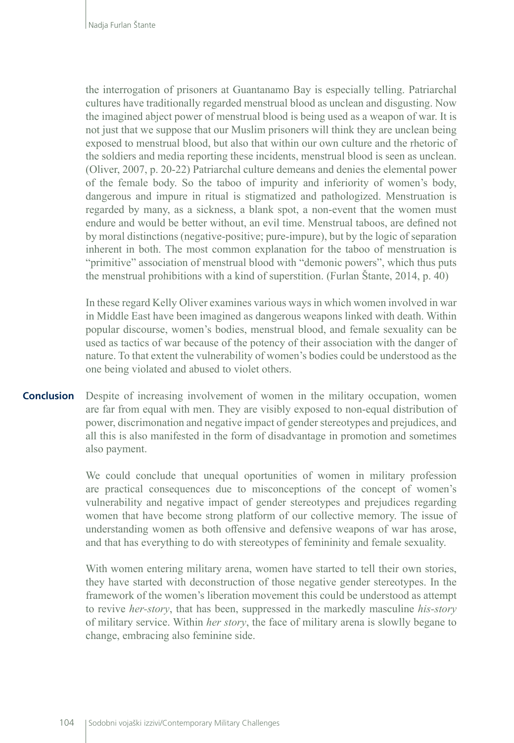the interrogation of prisoners at Guantanamo Bay is especially telling. Patriarchal cultures have traditionally regarded menstrual blood as unclean and disgusting. Now the imagined abject power of menstrual blood is being used as a weapon of war. It is not just that we suppose that our Muslim prisoners will think they are unclean being exposed to menstrual blood, but also that within our own culture and the rhetoric of the soldiers and media reporting these incidents, menstrual blood is seen as unclean. (Oliver, 2007, p. 20-22) Patriarchal culture demeans and denies the elemental power of the female body. So the taboo of impurity and inferiority of women's body, dangerous and impure in ritual is stigmatized and pathologized. Menstruation is regarded by many, as a sickness, a blank spot, a non-event that the women must endure and would be better without, an evil time. Menstrual taboos, are defined not by moral distinctions (negative-positive; pure-impure), but by the logic of separation inherent in both. The most common explanation for the taboo of menstruation is "primitive" association of menstrual blood with "demonic powers", which thus puts the menstrual prohibitions with a kind of superstition. (Furlan Štante, 2014, p. 40)

In these regard Kelly Oliver examines various ways in which women involved in war in Middle East have been imagined as dangerous weapons linked with death. Within popular discourse, women's bodies, menstrual blood, and female sexuality can be used as tactics of war because of the potency of their association with the danger of nature. To that extent the vulnerability of women's bodies could be understood as the one being violated and abused to violet others.

Despite of increasing involvement of women in the military occupation, women are far from equal with men. They are visibly exposed to non-equal distribution of power, discrimonation and negative impact of gender stereotypes and prejudices, and all this is also manifested in the form of disadvantage in promotion and sometimes also payment. **Conclusion**

> We could conclude that unequal oportunities of women in military profession are practical consequences due to misconceptions of the concept of women's vulnerability and negative impact of gender stereotypes and prejudices regarding women that have become strong platform of our collective memory. The issue of understanding women as both offensive and defensive weapons of war has arose, and that has everything to do with stereotypes of femininity and female sexuality.

> With women entering military arena, women have started to tell their own stories, they have started with deconstruction of those negative gender stereotypes. In the framework of the women's liberation movement this could be understood as attempt to revive *her-story*, that has been, suppressed in the markedly masculine *his-story* of military service. Within *her story*, the face of military arena is slowlly begane to change, embracing also feminine side.